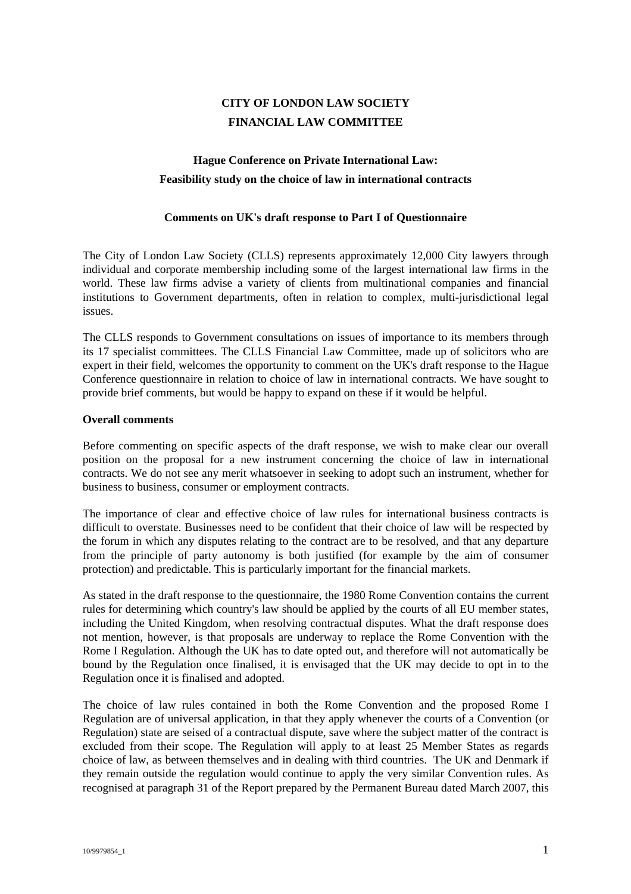# **CITY OF LONDON LAW SOCIETY FINANCIAL LAW COMMITTEE**

## **Hague Conference on Private International Law: Feasibility study on the choice of law in international contracts**

#### **Comments on UK's draft response to Part I of Questionnaire**

The City of London Law Society (CLLS) represents approximately 12,000 City lawyers through individual and corporate membership including some of the largest international law firms in the world. These law firms advise a variety of clients from multinational companies and financial institutions to Government departments, often in relation to complex, multi-jurisdictional legal issues.

The CLLS responds to Government consultations on issues of importance to its members through its 17 specialist committees. The CLLS Financial Law Committee, made up of solicitors who are expert in their field, welcomes the opportunity to comment on the UK's draft response to the Hague Conference questionnaire in relation to choice of law in international contracts. We have sought to provide brief comments, but would be happy to expand on these if it would be helpful.

#### **Overall comments**

Before commenting on specific aspects of the draft response, we wish to make clear our overall position on the proposal for a new instrument concerning the choice of law in international contracts. We do not see any merit whatsoever in seeking to adopt such an instrument, whether for business to business, consumer or employment contracts.

The importance of clear and effective choice of law rules for international business contracts is difficult to overstate. Businesses need to be confident that their choice of law will be respected by the forum in which any disputes relating to the contract are to be resolved, and that any departure from the principle of party autonomy is both justified (for example by the aim of consumer protection) and predictable. This is particularly important for the financial markets.

As stated in the draft response to the questionnaire, the 1980 Rome Convention contains the current rules for determining which country's law should be applied by the courts of all EU member states, including the United Kingdom, when resolving contractual disputes. What the draft response does not mention, however, is that proposals are underway to replace the Rome Convention with the Rome I Regulation. Although the UK has to date opted out, and therefore will not automatically be bound by the Regulation once finalised, it is envisaged that the UK may decide to opt in to the Regulation once it is finalised and adopted.

The choice of law rules contained in both the Rome Convention and the proposed Rome I Regulation are of universal application, in that they apply whenever the courts of a Convention (or Regulation) state are seised of a contractual dispute, save where the subject matter of the contract is excluded from their scope. The Regulation will apply to at least 25 Member States as regards choice of law, as between themselves and in dealing with third countries. The UK and Denmark if they remain outside the regulation would continue to apply the very similar Convention rules. As recognised at paragraph 31 of the Report prepared by the Permanent Bureau dated March 2007, this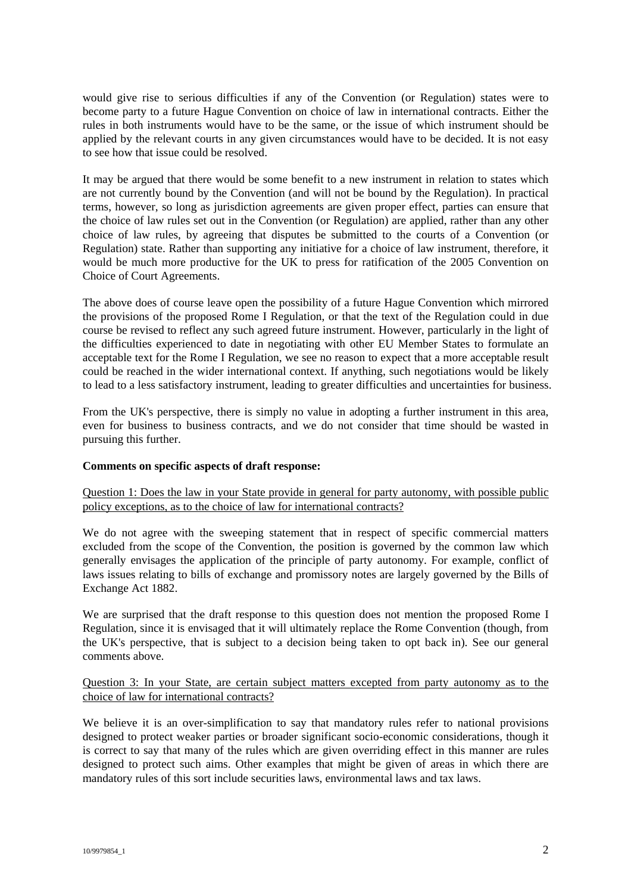would give rise to serious difficulties if any of the Convention (or Regulation) states were to become party to a future Hague Convention on choice of law in international contracts. Either the rules in both instruments would have to be the same, or the issue of which instrument should be applied by the relevant courts in any given circumstances would have to be decided. It is not easy to see how that issue could be resolved.

It may be argued that there would be some benefit to a new instrument in relation to states which are not currently bound by the Convention (and will not be bound by the Regulation). In practical terms, however, so long as jurisdiction agreements are given proper effect, parties can ensure that the choice of law rules set out in the Convention (or Regulation) are applied, rather than any other choice of law rules, by agreeing that disputes be submitted to the courts of a Convention (or Regulation) state. Rather than supporting any initiative for a choice of law instrument, therefore, it would be much more productive for the UK to press for ratification of the 2005 Convention on Choice of Court Agreements.

The above does of course leave open the possibility of a future Hague Convention which mirrored the provisions of the proposed Rome I Regulation, or that the text of the Regulation could in due course be revised to reflect any such agreed future instrument. However, particularly in the light of the difficulties experienced to date in negotiating with other EU Member States to formulate an acceptable text for the Rome I Regulation, we see no reason to expect that a more acceptable result could be reached in the wider international context. If anything, such negotiations would be likely to lead to a less satisfactory instrument, leading to greater difficulties and uncertainties for business.

From the UK's perspective, there is simply no value in adopting a further instrument in this area, even for business to business contracts, and we do not consider that time should be wasted in pursuing this further.

#### **Comments on specific aspects of draft response:**

Question 1: Does the law in your State provide in general for party autonomy, with possible public policy exceptions, as to the choice of law for international contracts?

We do not agree with the sweeping statement that in respect of specific commercial matters excluded from the scope of the Convention, the position is governed by the common law which generally envisages the application of the principle of party autonomy. For example, conflict of laws issues relating to bills of exchange and promissory notes are largely governed by the Bills of Exchange Act 1882.

We are surprised that the draft response to this question does not mention the proposed Rome I Regulation, since it is envisaged that it will ultimately replace the Rome Convention (though, from the UK's perspective, that is subject to a decision being taken to opt back in). See our general comments above.

#### Question 3: In your State, are certain subject matters excepted from party autonomy as to the choice of law for international contracts?

We believe it is an over-simplification to say that mandatory rules refer to national provisions designed to protect weaker parties or broader significant socio-economic considerations, though it is correct to say that many of the rules which are given overriding effect in this manner are rules designed to protect such aims. Other examples that might be given of areas in which there are mandatory rules of this sort include securities laws, environmental laws and tax laws.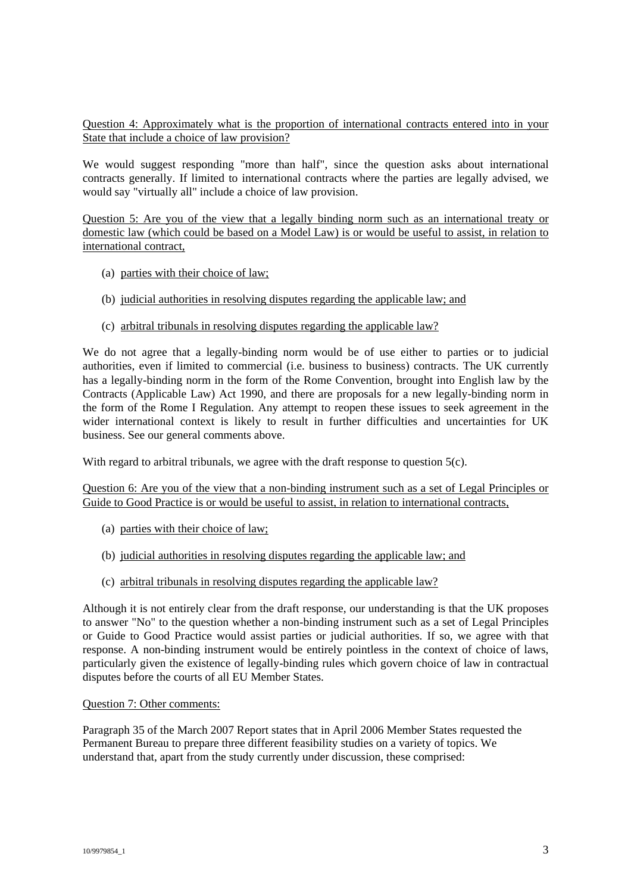Question 4: Approximately what is the proportion of international contracts entered into in your State that include a choice of law provision?

We would suggest responding "more than half", since the question asks about international contracts generally. If limited to international contracts where the parties are legally advised, we would say "virtually all" include a choice of law provision.

Question 5: Are you of the view that a legally binding norm such as an international treaty or domestic law (which could be based on a Model Law) is or would be useful to assist, in relation to international contract,

- (a) parties with their choice of law;
- (b) judicial authorities in resolving disputes regarding the applicable law; and
- (c) arbitral tribunals in resolving disputes regarding the applicable law?

We do not agree that a legally-binding norm would be of use either to parties or to judicial authorities, even if limited to commercial (i.e. business to business) contracts. The UK currently has a legally-binding norm in the form of the Rome Convention, brought into English law by the Contracts (Applicable Law) Act 1990, and there are proposals for a new legally-binding norm in the form of the Rome I Regulation. Any attempt to reopen these issues to seek agreement in the wider international context is likely to result in further difficulties and uncertainties for UK business. See our general comments above.

With regard to arbitral tribunals, we agree with the draft response to question 5(c).

Question 6: Are you of the view that a non-binding instrument such as a set of Legal Principles or Guide to Good Practice is or would be useful to assist, in relation to international contracts,

- (a) parties with their choice of law;
- (b) judicial authorities in resolving disputes regarding the applicable law; and
- (c) arbitral tribunals in resolving disputes regarding the applicable law?

Although it is not entirely clear from the draft response, our understanding is that the UK proposes to answer "No" to the question whether a non-binding instrument such as a set of Legal Principles or Guide to Good Practice would assist parties or judicial authorities. If so, we agree with that response. A non-binding instrument would be entirely pointless in the context of choice of laws, particularly given the existence of legally-binding rules which govern choice of law in contractual disputes before the courts of all EU Member States.

### Question 7: Other comments:

Paragraph 35 of the March 2007 Report states that in April 2006 Member States requested the Permanent Bureau to prepare three different feasibility studies on a variety of topics. We understand that, apart from the study currently under discussion, these comprised: